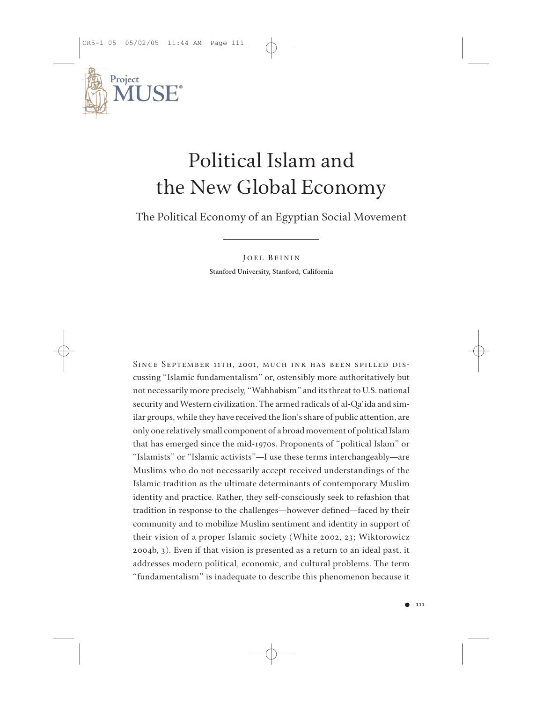

The Political Economy of an Egyptian Social Movement

**J OEL B EININ Stanford University, Stanford, California**

Since September 11th, 2001, much ink has been spilled discussing "Islamic fundamentalism" or, ostensibly more authoritatively but not necessarily more precisely, "Wahhabism" and its threat to U.S. national security and Western civilization. The armed radicals of al-Qa'ida and similar groups, while they have received the lion's share of public attention, are only one relatively small component of a broad movement of political Islam that has emerged since the mid-1970s. Proponents of "political Islam" or "Islamists" or "Islamic activists"—I use these terms interchangeably—are Muslims who do not necessarily accept received understandings of the Islamic tradition as the ultimate determinants of contemporary Muslim identity and practice. Rather, they self-consciously seek to refashion that tradition in response to the challenges—however defined—faced by their community and to mobilize Muslim sentiment and identity in support of their vision of a proper Islamic society (White 2002, 23; Wiktorowicz 2004b, 3). Even if that vision is presented as a return to an ideal past, it addresses modern political, economic, and cultural problems. The term "fundamentalism" is inadequate to describe this phenomenon because it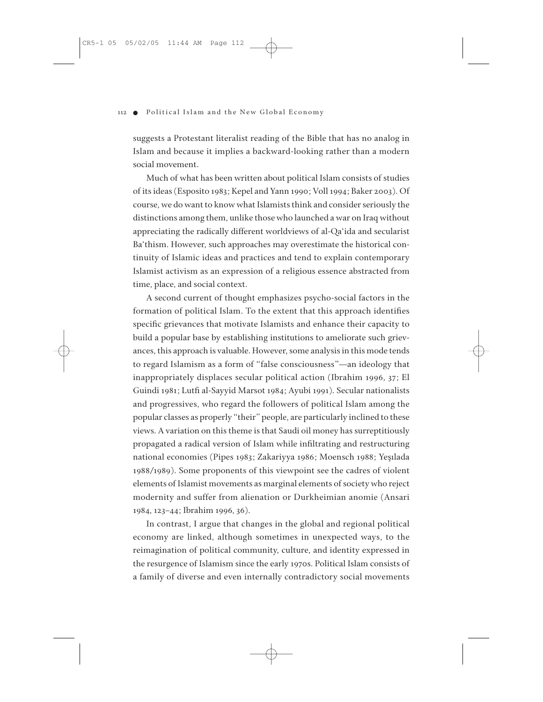suggests a Protestant literalist reading of the Bible that has no analog in Islam and because it implies a backward-looking rather than a modern social movement.

Much of what has been written about political Islam consists of studies of its ideas (Esposito 1983; Kepel and Yann 1990; Voll 1994; Baker 2003). Of course, we do want to know what Islamists think and consider seriously the distinctions among them, unlike those who launched a war on Iraq without appreciating the radically different worldviews of al-Qa'ida and secularist Ba'thism. However, such approaches may overestimate the historical continuity of Islamic ideas and practices and tend to explain contemporary Islamist activism as an expression of a religious essence abstracted from time, place, and social context.

A second current of thought emphasizes psycho-social factors in the formation of political Islam. To the extent that this approach identifies specific grievances that motivate Islamists and enhance their capacity to build a popular base by establishing institutions to ameliorate such grievances, this approach is valuable. However, some analysis in this mode tends to regard Islamism as a form of "false consciousness"—an ideology that inappropriately displaces secular political action (Ibrahim 1996, 37; El Guindi 1981; Lutfi al-Sayyid Marsot 1984; Ayubi 1991). Secular nationalists and progressives, who regard the followers of political Islam among the popular classes as properly "their" people, are particularly inclined to these views. A variation on this theme is that Saudi oil money has surreptitiously propagated a radical version of Islam while infiltrating and restructuring national economies (Pipes 1983; Zakariyya 1986; Moensch 1988; Yeşılada 1988/1989). Some proponents of this viewpoint see the cadres of violent elements of Islamist movements as marginal elements of society who reject modernity and suffer from alienation or Durkheimian anomie (Ansari 1984, 123–44; Ibrahim 1996, 36).

In contrast, I argue that changes in the global and regional political economy are linked, although sometimes in unexpected ways, to the reimagination of political community, culture, and identity expressed in the resurgence of Islamism since the early 1970s. Political Islam consists of a family of diverse and even internally contradictory social movements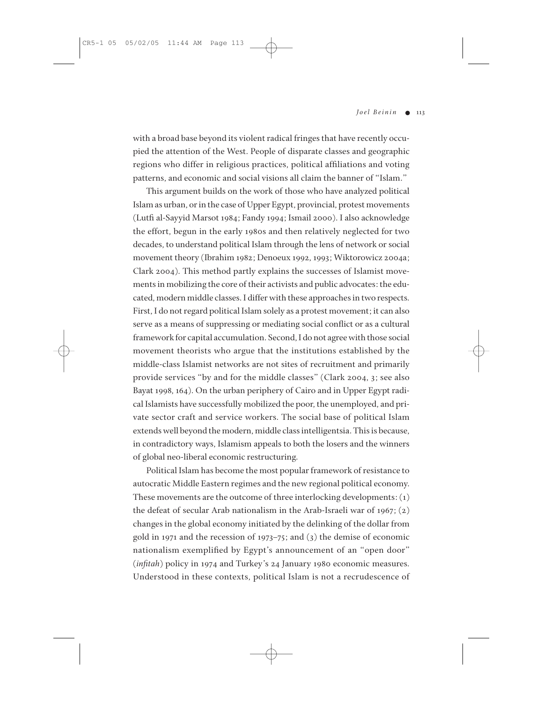with a broad base beyond its violent radical fringes that have recently occupied the attention of the West. People of disparate classes and geographic regions who differ in religious practices, political affiliations and voting patterns, and economic and social visions all claim the banner of "Islam."

This argument builds on the work of those who have analyzed political Islam as urban, or in the case of Upper Egypt, provincial, protest movements (Lutfi al-Sayyid Marsot 1984; Fandy 1994; Ismail 2000). I also acknowledge the effort, begun in the early 1980s and then relatively neglected for two decades, to understand political Islam through the lens of network or social movement theory (Ibrahim 1982; Denoeux 1992, 1993; Wiktorowicz 2004a; Clark 2004). This method partly explains the successes of Islamist movements in mobilizing the core of their activists and public advocates: the educated, modern middle classes. I differ with these approaches in two respects. First, I do not regard political Islam solely as a protest movement; it can also serve as a means of suppressing or mediating social conflict or as a cultural framework for capital accumulation. Second, I do not agree with those social movement theorists who argue that the institutions established by the middle-class Islamist networks are not sites of recruitment and primarily provide services "by and for the middle classes" (Clark 2004, 3; see also Bayat 1998, 164). On the urban periphery of Cairo and in Upper Egypt radical Islamists have successfully mobilized the poor, the unemployed, and private sector craft and service workers. The social base of political Islam extends well beyond the modern, middle class intelligentsia. This is because, in contradictory ways, Islamism appeals to both the losers and the winners of global neo-liberal economic restructuring.

Political Islam has become the most popular framework of resistance to autocratic Middle Eastern regimes and the new regional political economy. These movements are the outcome of three interlocking developments:  $(1)$ the defeat of secular Arab nationalism in the Arab-Israeli war of 1967; (2) changes in the global economy initiated by the delinking of the dollar from gold in 1971 and the recession of 1973–75; and (3) the demise of economic nationalism exemplified by Egypt's announcement of an "open door" (*infitah*) policy in 1974 and Turkey's 24 January 1980 economic measures. Understood in these contexts, political Islam is not a recrudescence of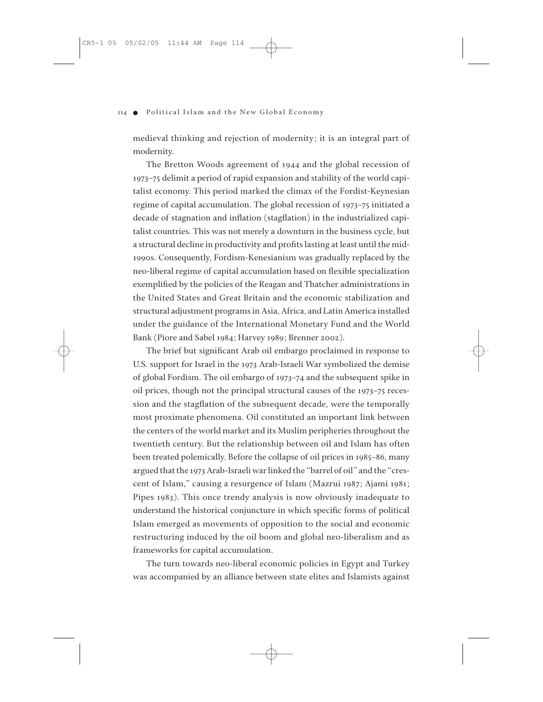medieval thinking and rejection of modernity; it is an integral part of modernity.

The Bretton Woods agreement of 1944 and the global recession of 1973–75 delimit a period of rapid expansion and stability of the world capitalist economy. This period marked the climax of the Fordist-Keynesian regime of capital accumulation. The global recession of 1973–75 initiated a decade of stagnation and inflation (stagflation) in the industrialized capitalist countries. This was not merely a downturn in the business cycle, but a structural decline in productivity and profits lasting at least until the mid-1990s. Consequently, Fordism-Kenesianism was gradually replaced by the neo-liberal regime of capital accumulation based on flexible specialization exemplified by the policies of the Reagan and Thatcher administrations in the United States and Great Britain and the economic stabilization and structural adjustment programs in Asia, Africa, and Latin America installed under the guidance of the International Monetary Fund and the World Bank (Piore and Sabel 1984; Harvey 1989; Brenner 2002).

The brief but significant Arab oil embargo proclaimed in response to U.S. support for Israel in the 1973 Arab-Israeli War symbolized the demise of global Fordism. The oil embargo of 1973–74 and the subsequent spike in oil prices, though not the principal structural causes of the 1973–75 recession and the stagflation of the subsequent decade, were the temporally most proximate phenomena. Oil constituted an important link between the centers of the world market and its Muslim peripheries throughout the twentieth century. But the relationship between oil and Islam has often been treated polemically. Before the collapse of oil prices in 1985–86, many argued that the 1973 Arab-Israeli war linked the "barrel of oil" and the "crescent of Islam," causing a resurgence of Islam (Mazrui 1987; Ajami 1981; Pipes 1983). This once trendy analysis is now obviously inadequate to understand the historical conjuncture in which specific forms of political Islam emerged as movements of opposition to the social and economic restructuring induced by the oil boom and global neo-liberalism and as frameworks for capital accumulation.

The turn towards neo-liberal economic policies in Egypt and Turkey was accompanied by an alliance between state elites and Islamists against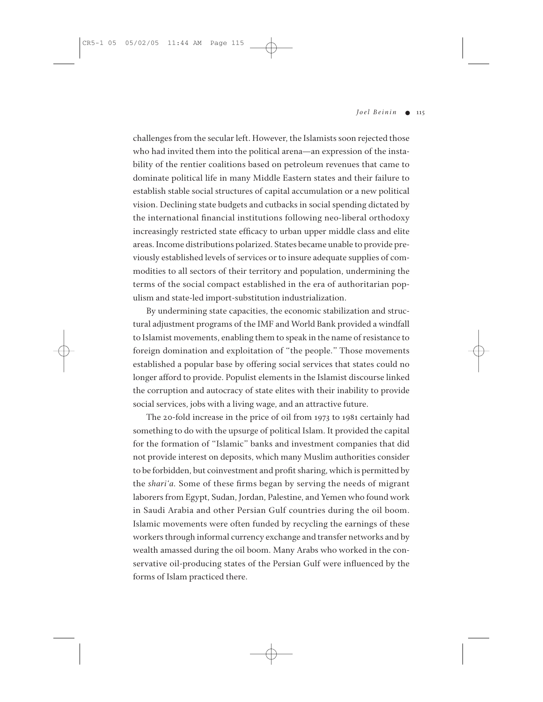challenges from the secular left. However, the Islamists soon rejected those who had invited them into the political arena—an expression of the instability of the rentier coalitions based on petroleum revenues that came to dominate political life in many Middle Eastern states and their failure to establish stable social structures of capital accumulation or a new political vision. Declining state budgets and cutbacks in social spending dictated by the international financial institutions following neo-liberal orthodoxy increasingly restricted state efficacy to urban upper middle class and elite areas. Income distributions polarized. States became unable to provide previously established levels of services or to insure adequate supplies of commodities to all sectors of their territory and population, undermining the terms of the social compact established in the era of authoritarian populism and state-led import-substitution industrialization.

By undermining state capacities, the economic stabilization and structural adjustment programs of the IMF and World Bank provided a windfall to Islamist movements, enabling them to speak in the name of resistance to foreign domination and exploitation of "the people." Those movements established a popular base by offering social services that states could no longer afford to provide. Populist elements in the Islamist discourse linked the corruption and autocracy of state elites with their inability to provide social services, jobs with a living wage, and an attractive future.

The 20-fold increase in the price of oil from 1973 to 1981 certainly had something to do with the upsurge of political Islam. It provided the capital for the formation of "Islamic" banks and investment companies that did not provide interest on deposits, which many Muslim authorities consider to be forbidden, but coinvestment and profit sharing, which is permitted by the *shari'a.* Some of these firms began by serving the needs of migrant laborers from Egypt, Sudan, Jordan, Palestine, and Yemen who found work in Saudi Arabia and other Persian Gulf countries during the oil boom. Islamic movements were often funded by recycling the earnings of these workers through informal currency exchange and transfer networks and by wealth amassed during the oil boom. Many Arabs who worked in the conservative oil-producing states of the Persian Gulf were influenced by the forms of Islam practiced there.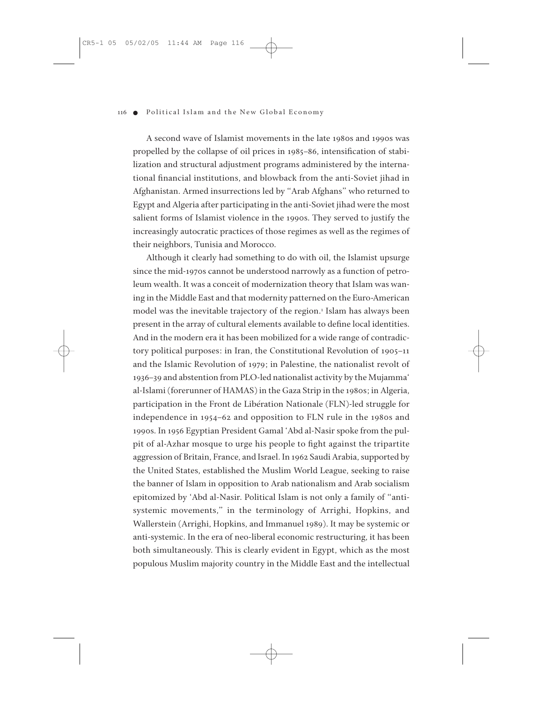A second wave of Islamist movements in the late 1980s and 1990s was propelled by the collapse of oil prices in 1985–86, intensification of stabilization and structural adjustment programs administered by the international financial institutions, and blowback from the anti-Soviet jihad in Afghanistan. Armed insurrections led by "Arab Afghans" who returned to Egypt and Algeria after participating in the anti-Soviet jihad were the most salient forms of Islamist violence in the 1990s. They served to justify the increasingly autocratic practices of those regimes as well as the regimes of their neighbors, Tunisia and Morocco.

Although it clearly had something to do with oil, the Islamist upsurge since the mid-1970s cannot be understood narrowly as a function of petroleum wealth. It was a conceit of modernization theory that Islam was waning in the Middle East and that modernity patterned on the Euro-American model was the inevitable trajectory of the region.<sup>1</sup> Islam has always been present in the array of cultural elements available to define local identities. And in the modern era it has been mobilized for a wide range of contradictory political purposes: in Iran, the Constitutional Revolution of 1905–11 and the Islamic Revolution of 1979; in Palestine, the nationalist revolt of 1936–39 and abstention from PLO-led nationalist activity by the Mujamma' al-Islami (forerunner of HAMAS) in the Gaza Strip in the 1980s; in Algeria, participation in the Front de Libération Nationale (FLN)-led struggle for independence in 1954–62 and opposition to FLN rule in the 1980s and 1990s. In 1956 Egyptian President Gamal 'Abd al-Nasir spoke from the pulpit of al-Azhar mosque to urge his people to fight against the tripartite aggression of Britain, France, and Israel. In 1962 Saudi Arabia, supported by the United States, established the Muslim World League, seeking to raise the banner of Islam in opposition to Arab nationalism and Arab socialism epitomized by 'Abd al-Nasir. Political Islam is not only a family of "antisystemic movements," in the terminology of Arrighi, Hopkins, and Wallerstein (Arrighi, Hopkins, and Immanuel 1989). It may be systemic or anti-systemic. In the era of neo-liberal economic restructuring, it has been both simultaneously. This is clearly evident in Egypt, which as the most populous Muslim majority country in the Middle East and the intellectual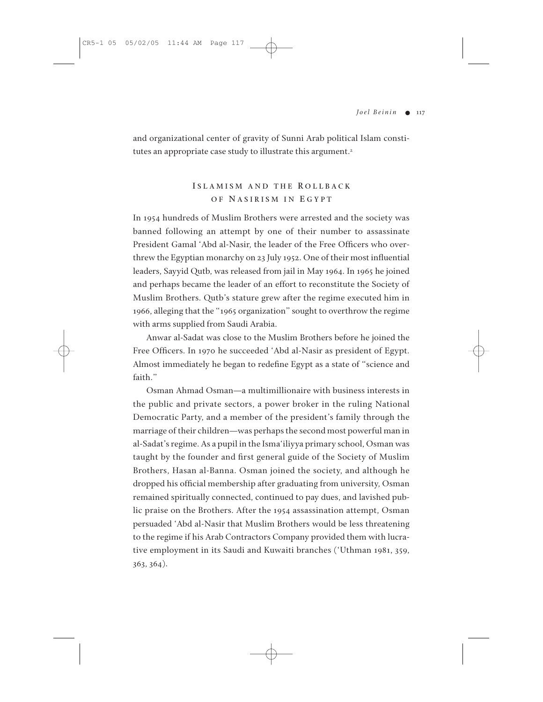and organizational center of gravity of Sunni Arab political Islam constitutes an appropriate case study to illustrate this argument.<sup>2</sup>

# **I SLAMISM AND THE R OLLBACK O F N ASIRISM IN E GYPT**

In 1954 hundreds of Muslim Brothers were arrested and the society was banned following an attempt by one of their number to assassinate President Gamal 'Abd al-Nasir, the leader of the Free Officers who overthrew the Egyptian monarchy on 23 July 1952. One of their most influential leaders, Sayyid Qutb, was released from jail in May 1964. In 1965 he joined and perhaps became the leader of an effort to reconstitute the Society of Muslim Brothers. Qutb's stature grew after the regime executed him in 1966, alleging that the "1965 organization" sought to overthrow the regime with arms supplied from Saudi Arabia.

Anwar al-Sadat was close to the Muslim Brothers before he joined the Free Officers. In 1970 he succeeded 'Abd al-Nasir as president of Egypt. Almost immediately he began to redefine Egypt as a state of "science and faith."

Osman Ahmad Osman—a multimillionaire with business interests in the public and private sectors, a power broker in the ruling National Democratic Party, and a member of the president's family through the marriage of their children—was perhaps the second most powerful man in al-Sadat's regime. As a pupil in the Isma'iliyya primary school, Osman was taught by the founder and first general guide of the Society of Muslim Brothers, Hasan al-Banna. Osman joined the society, and although he dropped his official membership after graduating from university, Osman remained spiritually connected, continued to pay dues, and lavished public praise on the Brothers. After the 1954 assassination attempt, Osman persuaded 'Abd al-Nasir that Muslim Brothers would be less threatening to the regime if his Arab Contractors Company provided them with lucrative employment in its Saudi and Kuwaiti branches ('Uthman 1981, 359, 363, 364).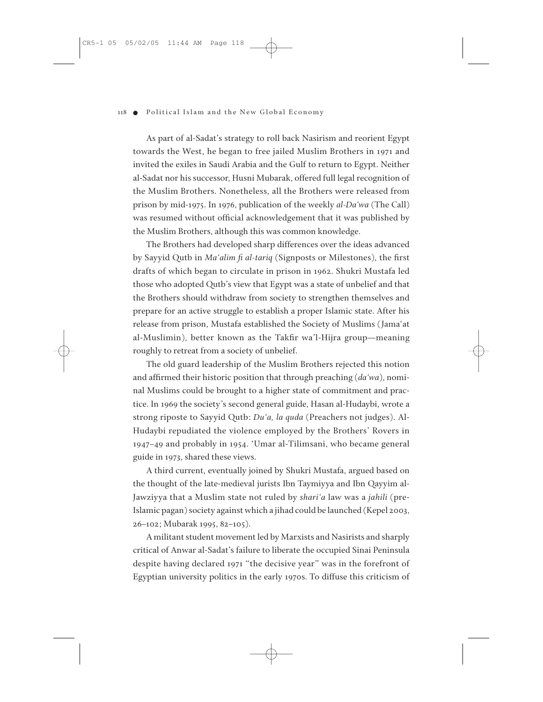As part of al-Sadat's strategy to roll back Nasirism and reorient Egypt towards the West, he began to free jailed Muslim Brothers in 1971 and invited the exiles in Saudi Arabia and the Gulf to return to Egypt. Neither al-Sadat nor his successor, Husni Mubarak, offered full legal recognition of the Muslim Brothers. Nonetheless, all the Brothers were released from prison by mid-1975. In 1976, publication of the weekly *al-Da'wa* (The Call) was resumed without official acknowledgement that it was published by the Muslim Brothers, although this was common knowledge.

The Brothers had developed sharp differences over the ideas advanced by Sayyid Qutb in *Ma'alim fi al-tariq* (Signposts or Milestones), the first drafts of which began to circulate in prison in 1962. Shukri Mustafa led those who adopted Qutb's view that Egypt was a state of unbelief and that the Brothers should withdraw from society to strengthen themselves and prepare for an active struggle to establish a proper Islamic state. After his release from prison, Mustafa established the Society of Muslims (Jama'at al-Muslimin), better known as the Takfir wa'l-Hijra group—meaning roughly to retreat from a society of unbelief.

The old guard leadership of the Muslim Brothers rejected this notion and affirmed their historic position that through preaching (*da'wa*), nominal Muslims could be brought to a higher state of commitment and practice. In 1969 the society's second general guide, Hasan al-Hudaybi, wrote a strong riposte to Sayyid Qutb: *Du'a, la quda* (Preachers not judges). Al-Hudaybi repudiated the violence employed by the Brothers' Rovers in 1947–49 and probably in 1954. 'Umar al-Tilimsani, who became general guide in 1973, shared these views.

A third current, eventually joined by Shukri Mustafa, argued based on the thought of the late-medieval jurists Ibn Taymiyya and Ibn Qayyim al-Jawziyya that a Muslim state not ruled by *shari'a* law was a *jahili* (pre-Islamic pagan) society against which a jihad could be launched (Kepel 2003, 26–102; Mubarak 1995, 82–105).

A militant student movement led by Marxists and Nasirists and sharply critical of Anwar al-Sadat's failure to liberate the occupied Sinai Peninsula despite having declared 1971 "the decisive year" was in the forefront of Egyptian university politics in the early 1970s. To diffuse this criticism of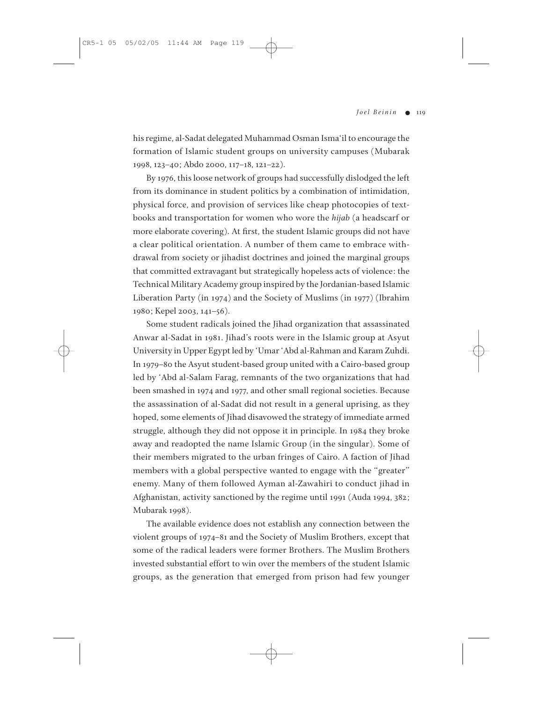his regime, al-Sadat delegated Muhammad Osman Isma'il to encourage the formation of Islamic student groups on university campuses (Mubarak 1998, 123–40; Abdo 2000, 117–18, 121–22).

By 1976, this loose network of groups had successfully dislodged the left from its dominance in student politics by a combination of intimidation, physical force, and provision of services like cheap photocopies of textbooks and transportation for women who wore the *hijab* (a headscarf or more elaborate covering). At first, the student Islamic groups did not have a clear political orientation. A number of them came to embrace withdrawal from society or jihadist doctrines and joined the marginal groups that committed extravagant but strategically hopeless acts of violence: the Technical Military Academy group inspired by the Jordanian-based Islamic Liberation Party (in 1974) and the Society of Muslims (in 1977) (Ibrahim 1980; Kepel 2003, 141–56).

Some student radicals joined the Jihad organization that assassinated Anwar al-Sadat in 1981. Jihad's roots were in the Islamic group at Asyut University in Upper Egypt led by 'Umar 'Abd al-Rahman and Karam Zuhdi. In 1979–80 the Asyut student-based group united with a Cairo-based group led by 'Abd al-Salam Farag, remnants of the two organizations that had been smashed in 1974 and 1977, and other small regional societies. Because the assassination of al-Sadat did not result in a general uprising, as they hoped, some elements of Jihad disavowed the strategy of immediate armed struggle, although they did not oppose it in principle. In 1984 they broke away and readopted the name Islamic Group (in the singular). Some of their members migrated to the urban fringes of Cairo. A faction of Jihad members with a global perspective wanted to engage with the "greater" enemy. Many of them followed Ayman al-Zawahiri to conduct jihad in Afghanistan, activity sanctioned by the regime until 1991 (Auda 1994, 382; Mubarak 1998).

The available evidence does not establish any connection between the violent groups of 1974–81 and the Society of Muslim Brothers, except that some of the radical leaders were former Brothers. The Muslim Brothers invested substantial effort to win over the members of the student Islamic groups, as the generation that emerged from prison had few younger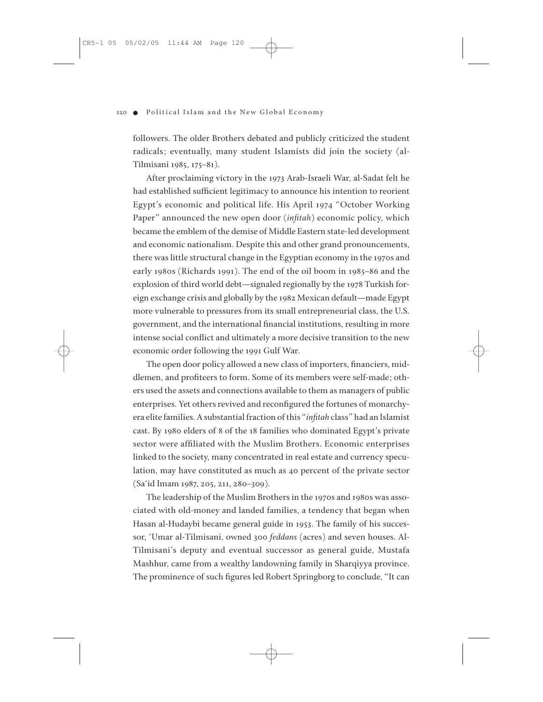followers. The older Brothers debated and publicly criticized the student radicals; eventually, many student Islamists did join the society (al-Tilmisani 1985, 175–81).

After proclaiming victory in the 1973 Arab-Israeli War, al-Sadat felt he had established sufficient legitimacy to announce his intention to reorient Egypt's economic and political life. His April 1974 "October Working Paper" announced the new open door (*infitah*) economic policy, which became the emblem of the demise of Middle Eastern state-led development and economic nationalism. Despite this and other grand pronouncements, there was little structural change in the Egyptian economy in the 1970s and early 1980s (Richards 1991). The end of the oil boom in 1985–86 and the explosion of third world debt—signaled regionally by the 1978 Turkish foreign exchange crisis and globally by the 1982 Mexican default—made Egypt more vulnerable to pressures from its small entrepreneurial class, the U.S. government, and the international financial institutions, resulting in more intense social conflict and ultimately a more decisive transition to the new economic order following the 1991 Gulf War.

The open door policy allowed a new class of importers, financiers, middlemen, and profiteers to form. Some of its members were self-made; others used the assets and connections available to them as managers of public enterprises. Yet others revived and reconfigured the fortunes of monarchyera elite families. A substantial fraction of this "*infitah* class" had an Islamist cast. By 1980 elders of 8 of the 18 families who dominated Egypt's private sector were affiliated with the Muslim Brothers. Economic enterprises linked to the society, many concentrated in real estate and currency speculation, may have constituted as much as 40 percent of the private sector (Sa'id Imam 1987, 205, 211, 280–309).

The leadership of the Muslim Brothers in the 1970s and 1980s was associated with old-money and landed families, a tendency that began when Hasan al-Hudaybi became general guide in 1953. The family of his successor, 'Umar al-Tilmisani, owned 300 *feddans* (acres) and seven houses. Al-Tilmisani's deputy and eventual successor as general guide, Mustafa Mashhur, came from a wealthy landowning family in Sharqiyya province. The prominence of such figures led Robert Springborg to conclude, "It can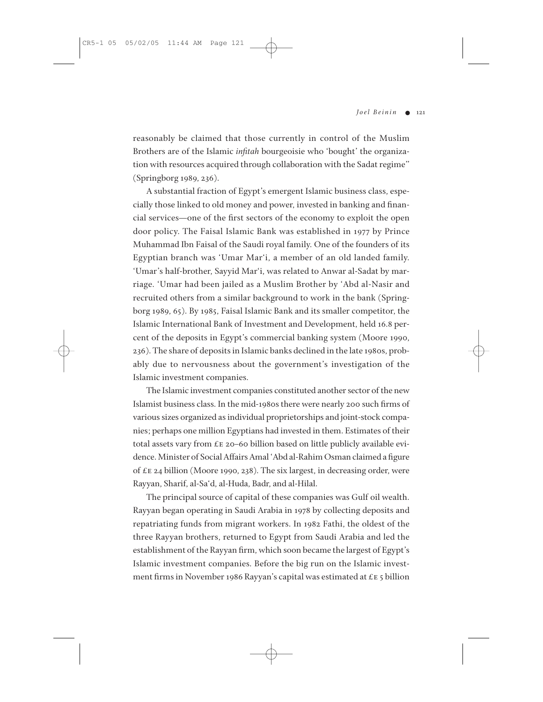reasonably be claimed that those currently in control of the Muslim Brothers are of the Islamic *infitah* bourgeoisie who 'bought' the organization with resources acquired through collaboration with the Sadat regime" (Springborg 1989, 236).

A substantial fraction of Egypt's emergent Islamic business class, especially those linked to old money and power, invested in banking and financial services—one of the first sectors of the economy to exploit the open door policy. The Faisal Islamic Bank was established in 1977 by Prince Muhammad Ibn Faisal of the Saudi royal family. One of the founders of its Egyptian branch was 'Umar Mar'i, a member of an old landed family. 'Umar's half-brother, Sayyid Mar'i, was related to Anwar al-Sadat by marriage. 'Umar had been jailed as a Muslim Brother by 'Abd al-Nasir and recruited others from a similar background to work in the bank (Springborg 1989, 65). By 1985, Faisal Islamic Bank and its smaller competitor, the Islamic International Bank of Investment and Development, held 16.8 percent of the deposits in Egypt's commercial banking system (Moore 1990, 236). The share of deposits in Islamic banks declined in the late 1980s, probably due to nervousness about the government's investigation of the Islamic investment companies.

The Islamic investment companies constituted another sector of the new Islamist business class. In the mid-1980s there were nearly 200 such firms of various sizes organized as individual proprietorships and joint-stock companies; perhaps one million Egyptians had invested in them. Estimates of their total assets vary from £e 20–60 billion based on little publicly available evidence. Minister of Social Affairs Amal 'Abd al-Rahim Osman claimed a figure of £e 24 billion (Moore 1990, 238). The six largest, in decreasing order, were Rayyan, Sharif, al-Sa'd, al-Huda, Badr, and al-Hilal.

The principal source of capital of these companies was Gulf oil wealth. Rayyan began operating in Saudi Arabia in 1978 by collecting deposits and repatriating funds from migrant workers. In 1982 Fathi, the oldest of the three Rayyan brothers, returned to Egypt from Saudi Arabia and led the establishment of the Rayyan firm, which soon became the largest of Egypt's Islamic investment companies. Before the big run on the Islamic investment firms in November 1986 Rayyan's capital was estimated at £e 5 billion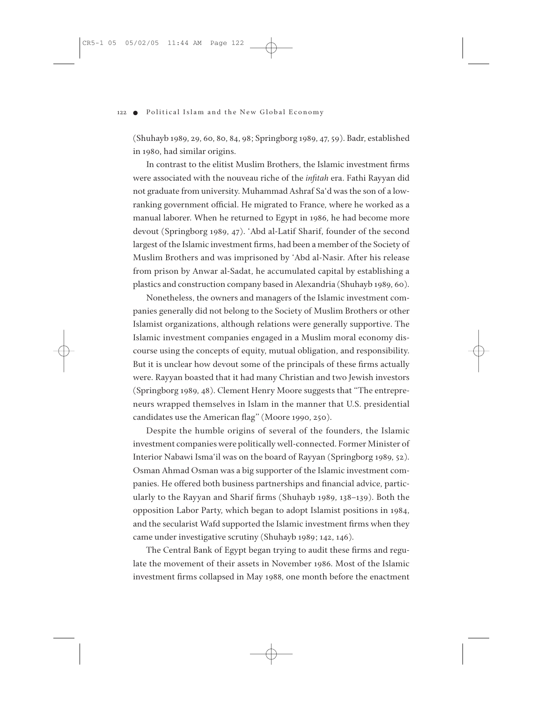(Shuhayb 1989, 29, 60, 80, 84, 98; Springborg 1989, 47, 59). Badr, established in 1980, had similar origins.

In contrast to the elitist Muslim Brothers, the Islamic investment firms were associated with the nouveau riche of the *infitah* era. Fathi Rayyan did not graduate from university. Muhammad Ashraf Sa'd was the son of a lowranking government official. He migrated to France, where he worked as a manual laborer. When he returned to Egypt in 1986, he had become more devout (Springborg 1989, 47). 'Abd al-Latif Sharif, founder of the second largest of the Islamic investment firms, had been a member of the Society of Muslim Brothers and was imprisoned by 'Abd al-Nasir. After his release from prison by Anwar al-Sadat, he accumulated capital by establishing a plastics and construction company based in Alexandria (Shuhayb 1989, 60).

Nonetheless, the owners and managers of the Islamic investment companies generally did not belong to the Society of Muslim Brothers or other Islamist organizations, although relations were generally supportive. The Islamic investment companies engaged in a Muslim moral economy discourse using the concepts of equity, mutual obligation, and responsibility. But it is unclear how devout some of the principals of these firms actually were. Rayyan boasted that it had many Christian and two Jewish investors (Springborg 1989, 48). Clement Henry Moore suggests that "The entrepreneurs wrapped themselves in Islam in the manner that U.S. presidential candidates use the American flag" (Moore 1990, 250).

Despite the humble origins of several of the founders, the Islamic investment companies were politically well-connected. Former Minister of Interior Nabawi Isma'il was on the board of Rayyan (Springborg 1989, 52). Osman Ahmad Osman was a big supporter of the Islamic investment companies. He offered both business partnerships and financial advice, particularly to the Rayyan and Sharif firms (Shuhayb 1989, 138–139). Both the opposition Labor Party, which began to adopt Islamist positions in 1984, and the secularist Wafd supported the Islamic investment firms when they came under investigative scrutiny (Shuhayb 1989; 142, 146).

The Central Bank of Egypt began trying to audit these firms and regulate the movement of their assets in November 1986. Most of the Islamic investment firms collapsed in May 1988, one month before the enactment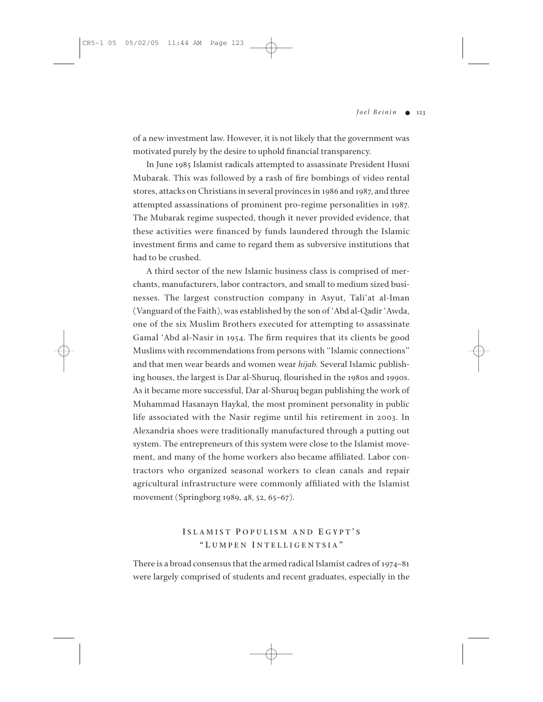of a new investment law. However, it is not likely that the government was motivated purely by the desire to uphold financial transparency.

In June 1985 Islamist radicals attempted to assassinate President Husni Mubarak. This was followed by a rash of fire bombings of video rental stores, attacks on Christians in several provinces in 1986 and 1987, and three attempted assassinations of prominent pro-regime personalities in 1987. The Mubarak regime suspected, though it never provided evidence, that these activities were financed by funds laundered through the Islamic investment firms and came to regard them as subversive institutions that had to be crushed.

A third sector of the new Islamic business class is comprised of merchants, manufacturers, labor contractors, and small to medium sized businesses. The largest construction company in Asyut, Tali'at al-Iman (Vanguard of the Faith), was established by the son of 'Abd al-Qadir 'Awda, one of the six Muslim Brothers executed for attempting to assassinate Gamal 'Abd al-Nasir in 1954. The firm requires that its clients be good Muslims with recommendations from persons with "Islamic connections" and that men wear beards and women wear *hijab.* Several Islamic publishing houses, the largest is Dar al-Shuruq, flourished in the 1980s and 1990s. As it became more successful, Dar al-Shuruq began publishing the work of Muhammad Hasanayn Haykal, the most prominent personality in public life associated with the Nasir regime until his retirement in 2003. In Alexandria shoes were traditionally manufactured through a putting out system. The entrepreneurs of this system were close to the Islamist movement, and many of the home workers also became affiliated. Labor contractors who organized seasonal workers to clean canals and repair agricultural infrastructure were commonly affiliated with the Islamist movement (Springborg 1989, 48, 52, 65–67).

# **I SLAMIST P OPULISM AND E GYPT ' S " L UMPEN I NTELLIGENTSIA "**

There is a broad consensus that the armed radical Islamist cadres of 1974–81 were largely comprised of students and recent graduates, especially in the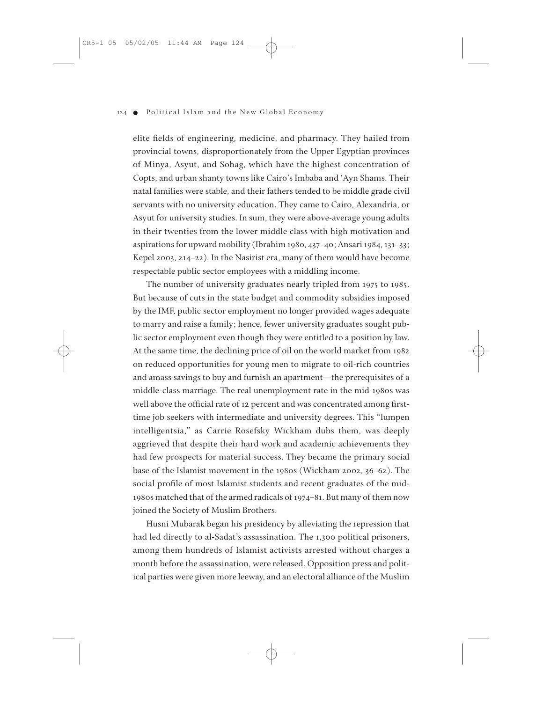elite fields of engineering, medicine, and pharmacy. They hailed from provincial towns, disproportionately from the Upper Egyptian provinces of Minya, Asyut, and Sohag, which have the highest concentration of Copts, and urban shanty towns like Cairo's Imbaba and 'Ayn Shams. Their natal families were stable, and their fathers tended to be middle grade civil servants with no university education. They came to Cairo, Alexandria, or Asyut for university studies. In sum, they were above-average young adults in their twenties from the lower middle class with high motivation and aspirations for upward mobility (Ibrahim 1980, 437–40; Ansari 1984, 131–33; Kepel 2003, 214–22). In the Nasirist era, many of them would have become respectable public sector employees with a middling income.

The number of university graduates nearly tripled from 1975 to 1985. But because of cuts in the state budget and commodity subsidies imposed by the IMF, public sector employment no longer provided wages adequate to marry and raise a family; hence, fewer university graduates sought public sector employment even though they were entitled to a position by law. At the same time, the declining price of oil on the world market from 1982 on reduced opportunities for young men to migrate to oil-rich countries and amass savings to buy and furnish an apartment—the prerequisites of a middle-class marriage. The real unemployment rate in the mid-1980s was well above the official rate of 12 percent and was concentrated among firsttime job seekers with intermediate and university degrees. This "lumpen intelligentsia," as Carrie Rosefsky Wickham dubs them, was deeply aggrieved that despite their hard work and academic achievements they had few prospects for material success. They became the primary social base of the Islamist movement in the 1980s (Wickham 2002, 36–62). The social profile of most Islamist students and recent graduates of the mid-1980s matched that of the armed radicals of 1974–81. But many of them now joined the Society of Muslim Brothers.

Husni Mubarak began his presidency by alleviating the repression that had led directly to al-Sadat's assassination. The 1,300 political prisoners, among them hundreds of Islamist activists arrested without charges a month before the assassination, were released. Opposition press and political parties were given more leeway, and an electoral alliance of the Muslim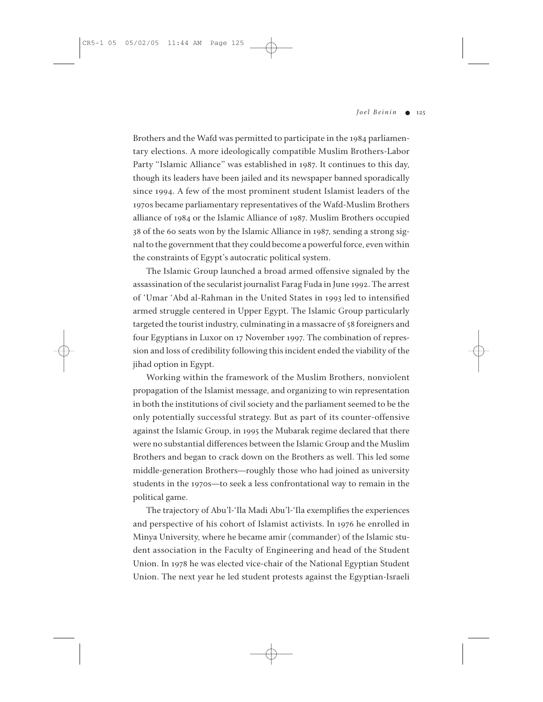Brothers and the Wafd was permitted to participate in the 1984 parliamentary elections. A more ideologically compatible Muslim Brothers-Labor Party "Islamic Alliance" was established in 1987. It continues to this day, though its leaders have been jailed and its newspaper banned sporadically since 1994. A few of the most prominent student Islamist leaders of the 1970s became parliamentary representatives of the Wafd-Muslim Brothers alliance of 1984 or the Islamic Alliance of 1987. Muslim Brothers occupied 38 of the 60 seats won by the Islamic Alliance in 1987, sending a strong signal to the government that they could become a powerful force, even within the constraints of Egypt's autocratic political system.

The Islamic Group launched a broad armed offensive signaled by the assassination of the secularist journalist Farag Fuda in June 1992. The arrest of 'Umar 'Abd al-Rahman in the United States in 1993 led to intensified armed struggle centered in Upper Egypt. The Islamic Group particularly targeted the tourist industry, culminating in a massacre of 58 foreigners and four Egyptians in Luxor on 17 November 1997. The combination of repression and loss of credibility following this incident ended the viability of the jihad option in Egypt.

Working within the framework of the Muslim Brothers, nonviolent propagation of the Islamist message, and organizing to win representation in both the institutions of civil society and the parliament seemed to be the only potentially successful strategy. But as part of its counter-offensive against the Islamic Group, in 1995 the Mubarak regime declared that there were no substantial differences between the Islamic Group and the Muslim Brothers and began to crack down on the Brothers as well. This led some middle-generation Brothers—roughly those who had joined as university students in the 1970s—to seek a less confrontational way to remain in the political game.

The trajectory of Abu'l-'Ila Madi Abu'l-'Ila exemplifies the experiences and perspective of his cohort of Islamist activists. In 1976 he enrolled in Minya University, where he became amir (commander) of the Islamic student association in the Faculty of Engineering and head of the Student Union. In 1978 he was elected vice-chair of the National Egyptian Student Union. The next year he led student protests against the Egyptian-Israeli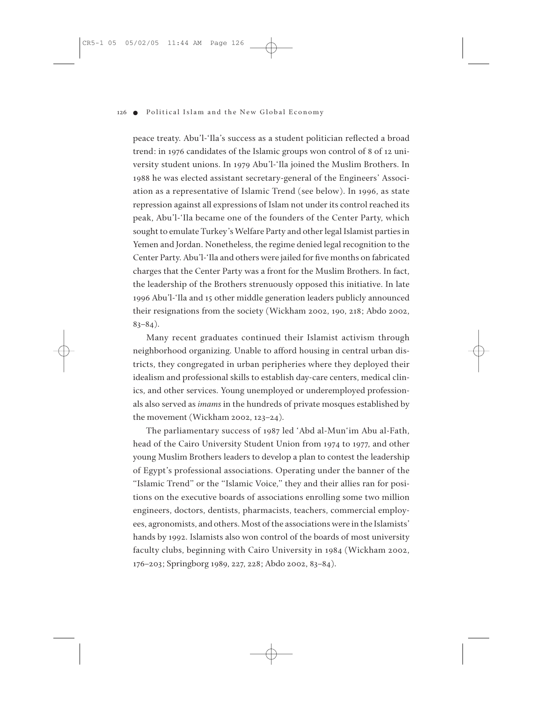peace treaty. Abu'l-'Ila's success as a student politician reflected a broad trend: in 1976 candidates of the Islamic groups won control of 8 of 12 university student unions. In 1979 Abu'l-'Ila joined the Muslim Brothers. In 1988 he was elected assistant secretary-general of the Engineers' Association as a representative of Islamic Trend (see below). In 1996, as state repression against all expressions of Islam not under its control reached its peak, Abu'l-'Ila became one of the founders of the Center Party, which sought to emulate Turkey's Welfare Party and other legal Islamist parties in Yemen and Jordan. Nonetheless, the regime denied legal recognition to the Center Party. Abu'l-'Ila and others were jailed for five months on fabricated charges that the Center Party was a front for the Muslim Brothers. In fact, the leadership of the Brothers strenuously opposed this initiative. In late 1996 Abu'l-'Ila and 15 other middle generation leaders publicly announced their resignations from the society (Wickham 2002, 190, 218; Abdo 2002,  $83-84$ ).

Many recent graduates continued their Islamist activism through neighborhood organizing. Unable to afford housing in central urban districts, they congregated in urban peripheries where they deployed their idealism and professional skills to establish day-care centers, medical clinics, and other services. Young unemployed or underemployed professionals also served as *imams* in the hundreds of private mosques established by the movement (Wickham 2002, 123–24).

The parliamentary success of 1987 led 'Abd al-Mun'im Abu al-Fath, head of the Cairo University Student Union from 1974 to 1977, and other young Muslim Brothers leaders to develop a plan to contest the leadership of Egypt's professional associations. Operating under the banner of the "Islamic Trend" or the "Islamic Voice," they and their allies ran for positions on the executive boards of associations enrolling some two million engineers, doctors, dentists, pharmacists, teachers, commercial employees, agronomists, and others. Most of the associations were in the Islamists' hands by 1992. Islamists also won control of the boards of most university faculty clubs, beginning with Cairo University in 1984 (Wickham 2002, 176–203; Springborg 1989, 227, 228; Abdo 2002, 83–84).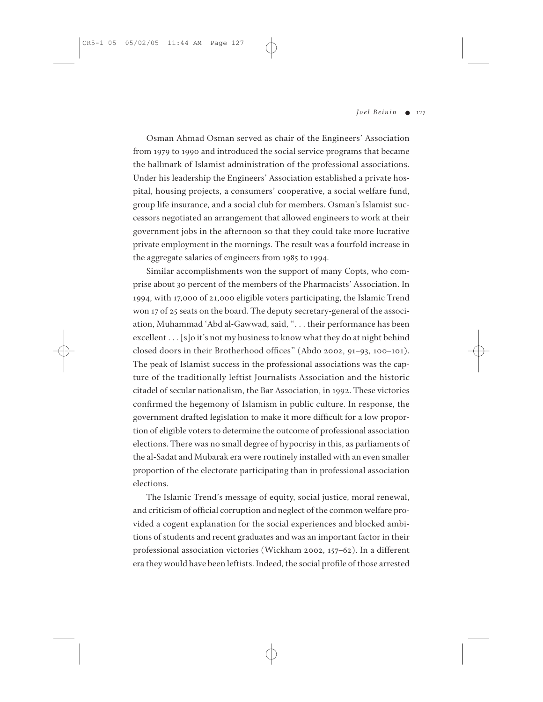Osman Ahmad Osman served as chair of the Engineers' Association from 1979 to 1990 and introduced the social service programs that became the hallmark of Islamist administration of the professional associations. Under his leadership the Engineers' Association established a private hospital, housing projects, a consumers' cooperative, a social welfare fund, group life insurance, and a social club for members. Osman's Islamist successors negotiated an arrangement that allowed engineers to work at their government jobs in the afternoon so that they could take more lucrative private employment in the mornings. The result was a fourfold increase in the aggregate salaries of engineers from 1985 to 1994.

Similar accomplishments won the support of many Copts, who comprise about 30 percent of the members of the Pharmacists' Association. In 1994, with 17,000 of 21,000 eligible voters participating, the Islamic Trend won 17 of 25 seats on the board. The deputy secretary-general of the association, Muhammad 'Abd al-Gawwad, said, ". . . their performance has been excellent . . . [s]o it's not my business to know what they do at night behind closed doors in their Brotherhood offices" (Abdo 2002, 91–93, 100–101). The peak of Islamist success in the professional associations was the capture of the traditionally leftist Journalists Association and the historic citadel of secular nationalism, the Bar Association, in 1992. These victories confirmed the hegemony of Islamism in public culture. In response, the government drafted legislation to make it more difficult for a low proportion of eligible voters to determine the outcome of professional association elections. There was no small degree of hypocrisy in this, as parliaments of the al-Sadat and Mubarak era were routinely installed with an even smaller proportion of the electorate participating than in professional association elections.

The Islamic Trend's message of equity, social justice, moral renewal, and criticism of official corruption and neglect of the common welfare provided a cogent explanation for the social experiences and blocked ambitions of students and recent graduates and was an important factor in their professional association victories (Wickham 2002, 157–62). In a different era they would have been leftists. Indeed, the social profile of those arrested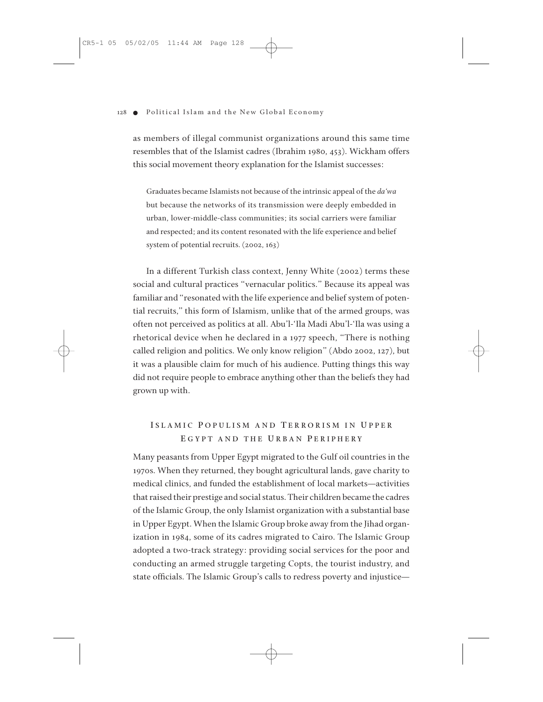as members of illegal communist organizations around this same time resembles that of the Islamist cadres (Ibrahim 1980, 453). Wickham offers this social movement theory explanation for the Islamist successes:

Graduates became Islamists not because of the intrinsic appeal of the *da'wa* but because the networks of its transmission were deeply embedded in urban, lower-middle-class communities; its social carriers were familiar and respected; and its content resonated with the life experience and belief system of potential recruits. (2002, 163)

In a different Turkish class context, Jenny White (2002) terms these social and cultural practices "vernacular politics." Because its appeal was familiar and "resonated with the life experience and belief system of potential recruits," this form of Islamism, unlike that of the armed groups, was often not perceived as politics at all. Abu'l-'Ila Madi Abu'l-'Ila was using a rhetorical device when he declared in a 1977 speech, "There is nothing called religion and politics. We only know religion" (Abdo 2002, 127), but it was a plausible claim for much of his audience. Putting things this way did not require people to embrace anything other than the beliefs they had grown up with.

# **I SLAMIC P OPULISM AND T ERRORISM IN U PPER E GYPT AND THE U RBAN P ERIPHERY**

Many peasants from Upper Egypt migrated to the Gulf oil countries in the 1970s. When they returned, they bought agricultural lands, gave charity to medical clinics, and funded the establishment of local markets—activities that raised their prestige and social status. Their children became the cadres of the Islamic Group, the only Islamist organization with a substantial base in Upper Egypt. When the Islamic Group broke away from the Jihad organization in 1984, some of its cadres migrated to Cairo. The Islamic Group adopted a two-track strategy: providing social services for the poor and conducting an armed struggle targeting Copts, the tourist industry, and state officials. The Islamic Group's calls to redress poverty and injustice—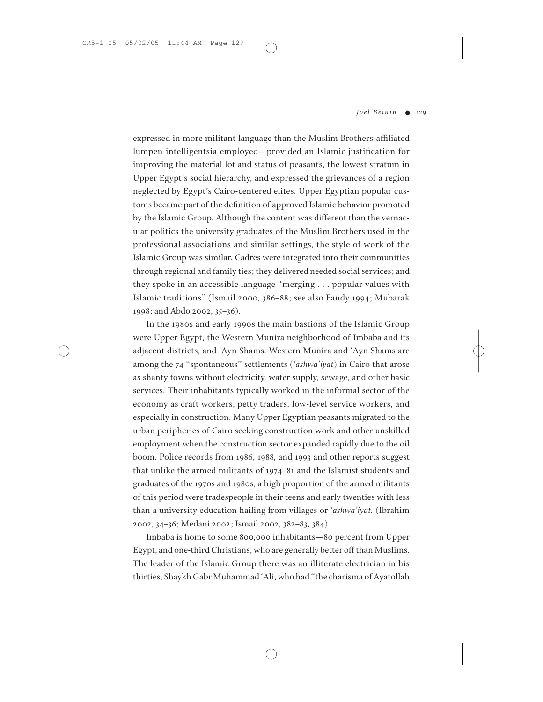expressed in more militant language than the Muslim Brothers-affiliated lumpen intelligentsia employed—provided an Islamic justification for improving the material lot and status of peasants, the lowest stratum in Upper Egypt's social hierarchy, and expressed the grievances of a region neglected by Egypt's Cairo-centered elites. Upper Egyptian popular customs became part of the definition of approved Islamic behavior promoted by the Islamic Group. Although the content was different than the vernacular politics the university graduates of the Muslim Brothers used in the professional associations and similar settings, the style of work of the Islamic Group was similar. Cadres were integrated into their communities through regional and family ties; they delivered needed social services; and they spoke in an accessible language "merging . . . popular values with Islamic traditions" (Ismail 2000, 386–88; see also Fandy 1994; Mubarak 1998; and Abdo 2002, 35–36).

In the 1980s and early 1990s the main bastions of the Islamic Group were Upper Egypt, the Western Munira neighborhood of Imbaba and its adjacent districts, and 'Ayn Shams. Western Munira and 'Ayn Shams are among the 74 "spontaneous" settlements (*'ashwa'iyat*) in Cairo that arose as shanty towns without electricity, water supply, sewage, and other basic services. Their inhabitants typically worked in the informal sector of the economy as craft workers, petty traders, low-level service workers, and especially in construction. Many Upper Egyptian peasants migrated to the urban peripheries of Cairo seeking construction work and other unskilled employment when the construction sector expanded rapidly due to the oil boom. Police records from 1986, 1988, and 1993 and other reports suggest that unlike the armed militants of 1974–81 and the Islamist students and graduates of the 1970s and 1980s, a high proportion of the armed militants of this period were tradespeople in their teens and early twenties with less than a university education hailing from villages or *'ashwa'iyat.* (Ibrahim 2002, 34–36; Medani 2002; Ismail 2002, 382–83, 384).

Imbaba is home to some 800,000 inhabitants—80 percent from Upper Egypt, and one-third Christians, who are generally better off than Muslims. The leader of the Islamic Group there was an illiterate electrician in his thirties, Shaykh Gabr Muhammad 'Ali, who had "the charisma of Ayatollah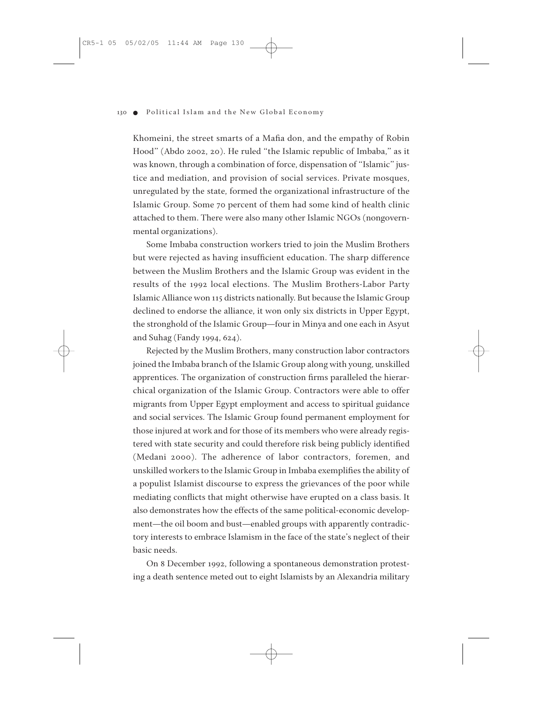Khomeini, the street smarts of a Mafia don, and the empathy of Robin Hood" (Abdo 2002, 20). He ruled "the Islamic republic of Imbaba," as it was known, through a combination of force, dispensation of "Islamic" justice and mediation, and provision of social services. Private mosques, unregulated by the state, formed the organizational infrastructure of the Islamic Group. Some 70 percent of them had some kind of health clinic attached to them. There were also many other Islamic NGOs (nongovernmental organizations).

Some Imbaba construction workers tried to join the Muslim Brothers but were rejected as having insufficient education. The sharp difference between the Muslim Brothers and the Islamic Group was evident in the results of the 1992 local elections. The Muslim Brothers-Labor Party Islamic Alliance won 115 districts nationally. But because the Islamic Group declined to endorse the alliance, it won only six districts in Upper Egypt, the stronghold of the Islamic Group—four in Minya and one each in Asyut and Suhag (Fandy 1994, 624).

Rejected by the Muslim Brothers, many construction labor contractors joined the Imbaba branch of the Islamic Group along with young, unskilled apprentices. The organization of construction firms paralleled the hierarchical organization of the Islamic Group. Contractors were able to offer migrants from Upper Egypt employment and access to spiritual guidance and social services. The Islamic Group found permanent employment for those injured at work and for those of its members who were already registered with state security and could therefore risk being publicly identified (Medani 2000). The adherence of labor contractors, foremen, and unskilled workers to the Islamic Group in Imbaba exemplifies the ability of a populist Islamist discourse to express the grievances of the poor while mediating conflicts that might otherwise have erupted on a class basis. It also demonstrates how the effects of the same political-economic development—the oil boom and bust—enabled groups with apparently contradictory interests to embrace Islamism in the face of the state's neglect of their basic needs.

On 8 December 1992, following a spontaneous demonstration protesting a death sentence meted out to eight Islamists by an Alexandria military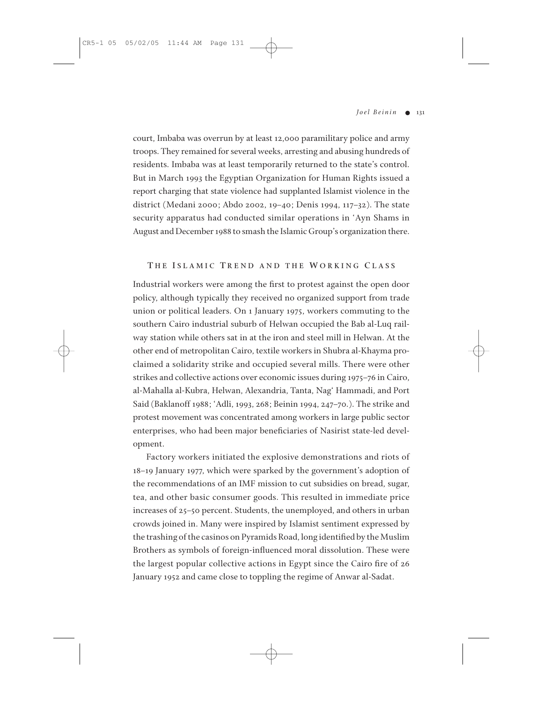court, Imbaba was overrun by at least 12,000 paramilitary police and army troops. They remained for several weeks, arresting and abusing hundreds of residents. Imbaba was at least temporarily returned to the state's control. But in March 1993 the Egyptian Organization for Human Rights issued a report charging that state violence had supplanted Islamist violence in the district (Medani 2000; Abdo 2002, 19–40; Denis 1994, 117–32). The state security apparatus had conducted similar operations in 'Ayn Shams in August and December 1988 to smash the Islamic Group's organization there.

## **T H E I SLAMIC T REND AND THE W ORKING C LASS**

Industrial workers were among the first to protest against the open door policy, although typically they received no organized support from trade union or political leaders. On 1 January 1975, workers commuting to the southern Cairo industrial suburb of Helwan occupied the Bab al-Luq railway station while others sat in at the iron and steel mill in Helwan. At the other end of metropolitan Cairo, textile workers in Shubra al-Khayma proclaimed a solidarity strike and occupied several mills. There were other strikes and collective actions over economic issues during 1975–76 in Cairo, al-Mahalla al-Kubra, Helwan, Alexandria, Tanta, Nag' Hammadi, and Port Said (Baklanoff 1988; 'Adli, 1993, 268; Beinin 1994, 247–70.). The strike and protest movement was concentrated among workers in large public sector enterprises, who had been major beneficiaries of Nasirist state-led development.

Factory workers initiated the explosive demonstrations and riots of 18–19 January 1977, which were sparked by the government's adoption of the recommendations of an IMF mission to cut subsidies on bread, sugar, tea, and other basic consumer goods. This resulted in immediate price increases of 25–50 percent. Students, the unemployed, and others in urban crowds joined in. Many were inspired by Islamist sentiment expressed by the trashing of the casinos on Pyramids Road, long identified by the Muslim Brothers as symbols of foreign-influenced moral dissolution. These were the largest popular collective actions in Egypt since the Cairo fire of 26 January 1952 and came close to toppling the regime of Anwar al-Sadat.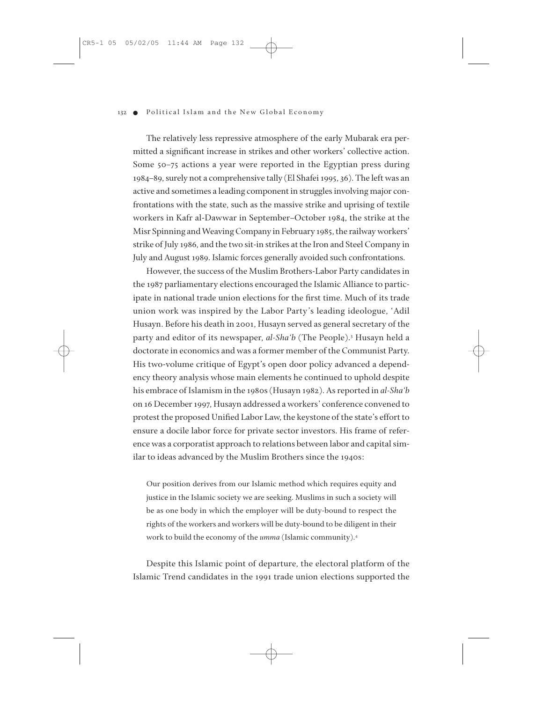The relatively less repressive atmosphere of the early Mubarak era permitted a significant increase in strikes and other workers' collective action. Some 50–75 actions a year were reported in the Egyptian press during 1984–89, surely not a comprehensive tally (El Shafei 1995, 36). The left was an active and sometimes a leading component in struggles involving major confrontations with the state, such as the massive strike and uprising of textile workers in Kafr al-Dawwar in September–October 1984, the strike at the Misr Spinning and Weaving Company in February 1985, the railway workers' strike of July 1986, and the two sit-in strikes at the Iron and Steel Company in July and August 1989. Islamic forces generally avoided such confrontations.

However, the success of the Muslim Brothers-Labor Party candidates in the 1987 parliamentary elections encouraged the Islamic Alliance to participate in national trade union elections for the first time. Much of its trade union work was inspired by the Labor Party's leading ideologue, 'Adil Husayn. Before his death in 2001, Husayn served as general secretary of the party and editor of its newspaper, *al-Sha'b* (The People).3 Husayn held a doctorate in economics and was a former member of the Communist Party. His two-volume critique of Egypt's open door policy advanced a dependency theory analysis whose main elements he continued to uphold despite his embrace of Islamism in the 1980s (Husayn 1982). As reported in *al-Sha'b* on 16 December 1997, Husayn addressed a workers' conference convened to protest the proposed Unified Labor Law, the keystone of the state's effort to ensure a docile labor force for private sector investors. His frame of reference was a corporatist approach to relations between labor and capital similar to ideas advanced by the Muslim Brothers since the 1940s:

Our position derives from our Islamic method which requires equity and justice in the Islamic society we are seeking. Muslims in such a society will be as one body in which the employer will be duty-bound to respect the rights of the workers and workers will be duty-bound to be diligent in their work to build the economy of the *umma* (Islamic community).4

Despite this Islamic point of departure, the electoral platform of the Islamic Trend candidates in the 1991 trade union elections supported the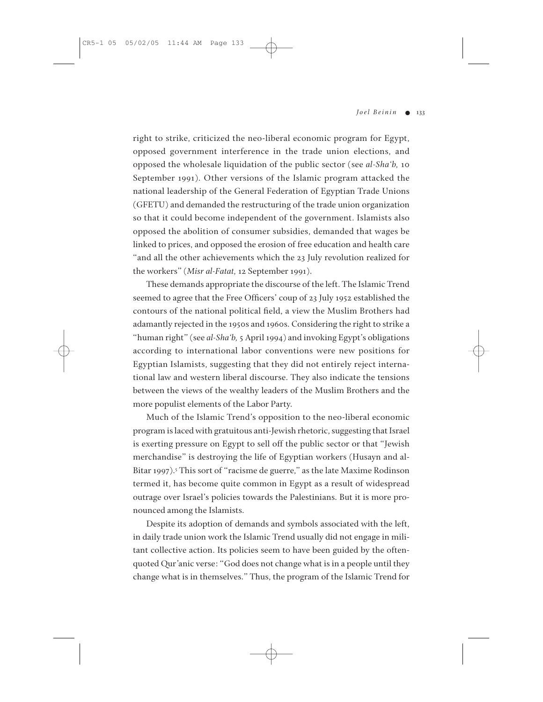right to strike, criticized the neo-liberal economic program for Egypt, opposed government interference in the trade union elections, and opposed the wholesale liquidation of the public sector (see *al-Sha'b,* 10 September 1991). Other versions of the Islamic program attacked the national leadership of the General Federation of Egyptian Trade Unions (GFETU) and demanded the restructuring of the trade union organization so that it could become independent of the government. Islamists also opposed the abolition of consumer subsidies, demanded that wages be linked to prices, and opposed the erosion of free education and health care "and all the other achievements which the 23 July revolution realized for the workers" (*Misr al-Fatat,* 12 September 1991).

These demands appropriate the discourse of the left. The Islamic Trend seemed to agree that the Free Officers' coup of 23 July 1952 established the contours of the national political field, a view the Muslim Brothers had adamantly rejected in the 1950s and 1960s. Considering the right to strike a "human right" (see *al-Sha'b,* 5 April 1994) and invoking Egypt's obligations according to international labor conventions were new positions for Egyptian Islamists, suggesting that they did not entirely reject international law and western liberal discourse. They also indicate the tensions between the views of the wealthy leaders of the Muslim Brothers and the more populist elements of the Labor Party.

Much of the Islamic Trend's opposition to the neo-liberal economic program is laced with gratuitous anti-Jewish rhetoric, suggesting that Israel is exerting pressure on Egypt to sell off the public sector or that "Jewish merchandise" is destroying the life of Egyptian workers (Husayn and al-Bitar 1997).<sup>5</sup> This sort of "racisme de guerre," as the late Maxime Rodinson termed it, has become quite common in Egypt as a result of widespread outrage over Israel's policies towards the Palestinians. But it is more pronounced among the Islamists.

Despite its adoption of demands and symbols associated with the left, in daily trade union work the Islamic Trend usually did not engage in militant collective action. Its policies seem to have been guided by the oftenquoted Qur'anic verse: "God does not change what is in a people until they change what is in themselves." Thus, the program of the Islamic Trend for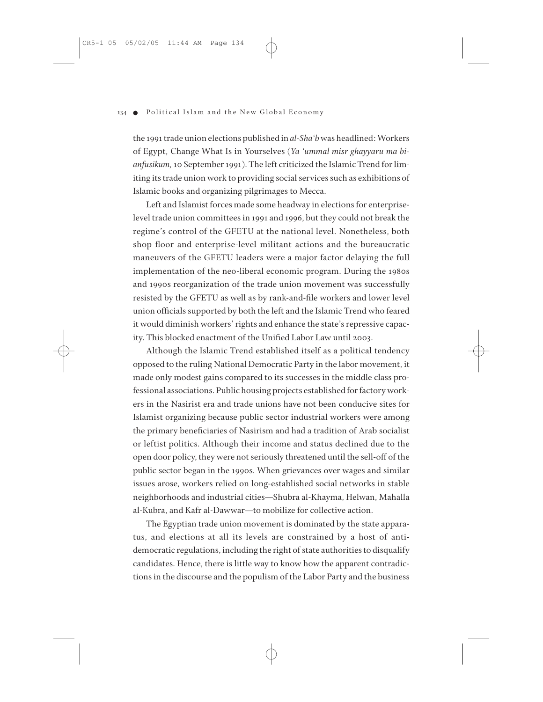the 1991 trade union elections published in *al-Sha'b* was headlined: Workers of Egypt, Change What Is in Yourselves (*Ya 'ummal misr ghayyaru ma bianfusikum,*10 September 1991). The left criticized the Islamic Trend for limiting its trade union work to providing social services such as exhibitions of Islamic books and organizing pilgrimages to Mecca.

Left and Islamist forces made some headway in elections for enterpriselevel trade union committees in 1991 and 1996, but they could not break the regime's control of the GFETU at the national level. Nonetheless, both shop floor and enterprise-level militant actions and the bureaucratic maneuvers of the GFETU leaders were a major factor delaying the full implementation of the neo-liberal economic program. During the 1980s and 1990s reorganization of the trade union movement was successfully resisted by the GFETU as well as by rank-and-file workers and lower level union officials supported by both the left and the Islamic Trend who feared it would diminish workers' rights and enhance the state's repressive capacity. This blocked enactment of the Unified Labor Law until 2003.

Although the Islamic Trend established itself as a political tendency opposed to the ruling National Democratic Party in the labor movement, it made only modest gains compared to its successes in the middle class professional associations. Public housing projects established for factory workers in the Nasirist era and trade unions have not been conducive sites for Islamist organizing because public sector industrial workers were among the primary beneficiaries of Nasirism and had a tradition of Arab socialist or leftist politics. Although their income and status declined due to the open door policy, they were not seriously threatened until the sell-off of the public sector began in the 1990s. When grievances over wages and similar issues arose, workers relied on long-established social networks in stable neighborhoods and industrial cities—Shubra al-Khayma, Helwan, Mahalla al-Kubra, and Kafr al-Dawwar—to mobilize for collective action.

The Egyptian trade union movement is dominated by the state apparatus, and elections at all its levels are constrained by a host of antidemocratic regulations, including the right of state authorities to disqualify candidates. Hence, there is little way to know how the apparent contradictions in the discourse and the populism of the Labor Party and the business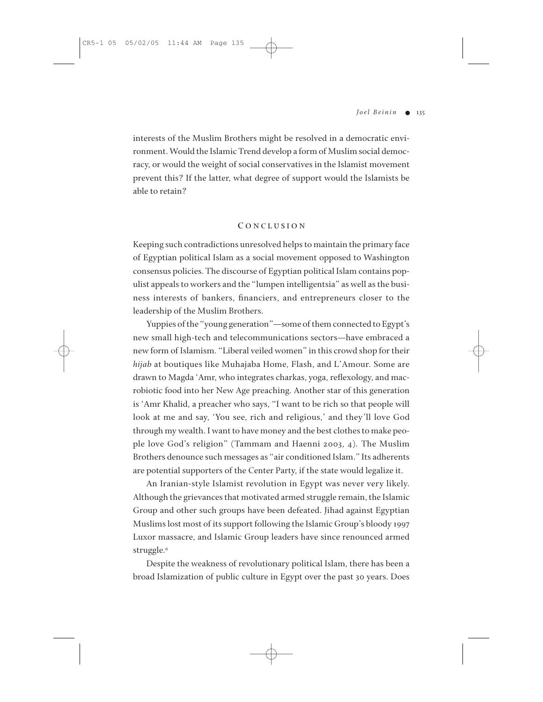interests of the Muslim Brothers might be resolved in a democratic environment. Would the Islamic Trend develop a form of Muslim social democracy, or would the weight of social conservatives in the Islamist movement prevent this? If the latter, what degree of support would the Islamists be able to retain?

### **C ONCLUSION**

Keeping such contradictions unresolved helps to maintain the primary face of Egyptian political Islam as a social movement opposed to Washington consensus policies. The discourse of Egyptian political Islam contains populist appeals to workers and the "lumpen intelligentsia" as well as the business interests of bankers, financiers, and entrepreneurs closer to the leadership of the Muslim Brothers.

Yuppies of the "young generation"—some of them connected to Egypt's new small high-tech and telecommunications sectors—have embraced a new form of Islamism. "Liberal veiled women" in this crowd shop for their *hijab* at boutiques like Muhajaba Home, Flash, and L'Amour. Some are drawn to Magda 'Amr, who integrates charkas, yoga, reflexology, and macrobiotic food into her New Age preaching. Another star of this generation is 'Amr Khalid, a preacher who says, "I want to be rich so that people will look at me and say, 'You see, rich and religious,' and they'll love God through my wealth. I want to have money and the best clothes to make people love God's religion" (Tammam and Haenni 2003, 4). The Muslim Brothers denounce such messages as "air conditioned Islam." Its adherents are potential supporters of the Center Party, if the state would legalize it.

An Iranian-style Islamist revolution in Egypt was never very likely. Although the grievances that motivated armed struggle remain, the Islamic Group and other such groups have been defeated. Jihad against Egyptian Muslims lost most of its support following the Islamic Group's bloody 1997 Luxor massacre, and Islamic Group leaders have since renounced armed struggle.<sup>6</sup>

Despite the weakness of revolutionary political Islam, there has been a broad Islamization of public culture in Egypt over the past 30 years. Does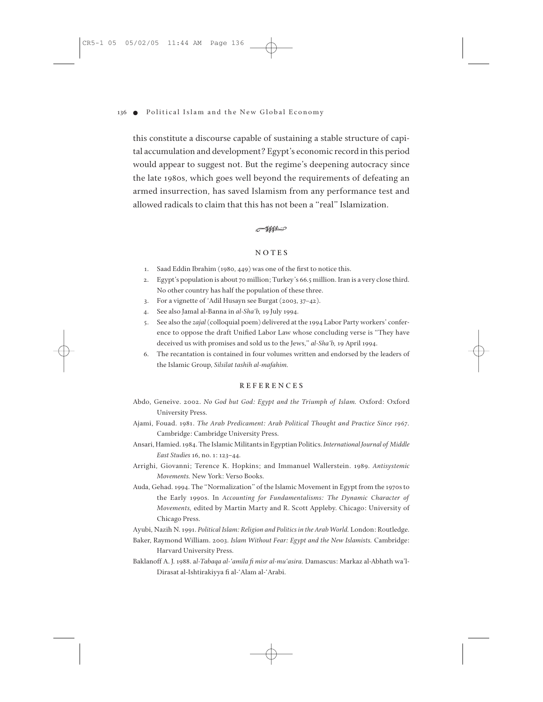this constitute a discourse capable of sustaining a stable structure of capital accumulation and development? Egypt's economic record in this period would appear to suggest not. But the regime's deepening autocracy since the late 1980s, which goes well beyond the requirements of defeating an armed insurrection, has saved Islamism from any performance test and allowed radicals to claim that this has not been a "real" Islamization.

#### $-$ 1111-0

## **NOTES**

- 1. Saad Eddin Ibrahim (1980, 449) was one of the first to notice this.
- 2. Egypt's population is about 70 million; Turkey's 66.5 million. Iran is a very close third. No other country has half the population of these three.
- 3. For a vignette of 'Adil Husayn see Burgat (2003, 37–42).
- 4. See also Jamal al-Banna in *al-Sha'b,* 19 July 1994.
- 5. See also the *zajal* (colloquial poem) delivered at the 1994 Labor Party workers' conference to oppose the draft Unified Labor Law whose concluding verse is "They have deceived us with promises and sold us to the Jews," *al-Sha'b,* 19 April 1994.
- 6. The recantation is contained in four volumes written and endorsed by the leaders of the Islamic Group, *Silsilat tashih al-mafahim.*

#### **REFERENCES**

- Abdo, Geneive. 2002. *No God but God: Egypt and the Triumph of Islam.* Oxford: Oxford University Press.
- Ajami, Fouad. 1981. *The Arab Predicament: Arab Political Thought and Practice Since 1967.* Cambridge: Cambridge University Press.
- Ansari, Hamied. 1984. The Islamic Militants in Egyptian Politics. *International Journal of Middle East Studies* 16, no. 1: 123–44.
- Arrighi, Giovanni; Terence K. Hopkins; and Immanuel Wallerstein. 1989. *Antisystemic Movements.* New York: Verso Books.
- Auda, Gehad. 1994. The "Normalization" of the Islamic Movement in Egypt from the 1970s to the Early 1990s. In *Accounting for Fundamentalisms: The Dynamic Character of Movements,* edited by Martin Marty and R. Scott Appleby. Chicago: University of Chicago Press.
- Ayubi, Nazih N. 1991. *Political Islam: Religion and Politics in the Arab World.* London: Routledge.
- Baker, Raymond William. 2003. *Islam Without Fear: Egypt and the New Islamists.* Cambridge: Harvard University Press.
- Baklanoff A. J. 1988. a*l-Tabaqa al-'amila fi misr al-mu'asira.* Damascus: Markaz al-Abhath wa'l-Dirasat al-Ishtirakiyya fi al-'Alam al-'Arabi.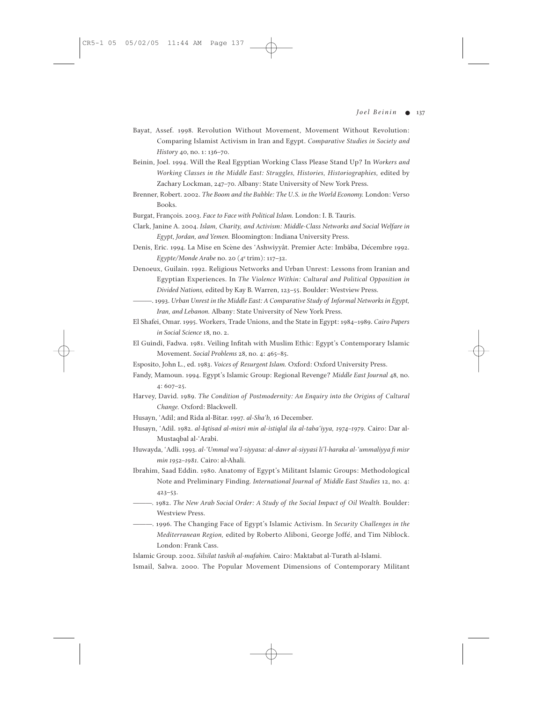- Bayat, Assef. 1998. Revolution Without Movement, Movement Without Revolution: Comparing Islamist Activism in Iran and Egypt. *Comparative Studies in Society and History* 40, no. 1: 136–70.
- Beinin, Joel. 1994. Will the Real Egyptian Working Class Please Stand Up? In *Workers and Working Classes in the Middle East: Struggles, Histories, Historiographies,* edited by Zachary Lockman, 247–70. Albany: State University of New York Press.
- Brenner, Robert. 2002. *The Boom and the Bubble: The U.S. in the World Economy.* London: Verso Books.
- Burgat, François. 2003. *Face to Face with Political Islam.* London: I. B. Tauris.
- Clark, Janine A. 2004. *Islam, Charity, and Activism: Middle-Class Networks and Social Welfare in Egypt, Jordan, and Yemen.* Bloomington: Indiana University Press.
- Denis, Eric. 1994. La Mise en Scène des 'Ashwiyyât. Premier Acte: Imbâba, Décembre 1992. *Egypte/Monde Arabe* no. 20 (4e trim): 117–32.
- Denoeux, Guilain. 1992. Religious Networks and Urban Unrest: Lessons from Iranian and Egyptian Experiences. In *The Violence Within: Cultural and Political Opposition in Divided Nations,* edited by Kay B. Warren, 123–55. Boulder: Westview Press.
- ———. 1993. *Urban Unrest in the Middle East: A Comparative Study of Informal Networks in Egypt, Iran, and Lebanon.* Albany: State University of New York Press.
- El Shafei, Omar. 1995. Workers, Trade Unions, and the State in Egypt: 1984–1989. *Cairo Papers in Social Science* 18, no. 2.
- El Guindi, Fadwa. 1981. Veiling Infitah with Muslim Ethic: Egypt's Contemporary Islamic Movement. *Social Problems* 28, no. 4: 465–85.
- Esposito, John L., ed. 1983. *Voices of Resurgent Islam.* Oxford: Oxford University Press.
- Fandy, Mamoun. 1994. Egypt's Islamic Group: Regional Revenge? *Middle East Journal* 48, no. 4: 607–25.
- Harvey, David. 1989. *The Condition of Postmodernity: An Enquiry into the Origins of Cultural Change.* Oxford: Blackwell.
- Husayn, 'Adil; and Rida al-Bitar. 1997. *al-Sha'b,* 16 December.
- Husayn, 'Adil. 1982. *al-Iqtisad al-misri min al-istiqlal ila al-taba'iyya, 1974–1979.* Cairo: Dar al-Mustaqbal al-'Arabi.
- Huwayda, 'Adli. 1993. *al-'Ummal wa'l-siyyasa: al-dawr al-siyyasi li'l-haraka al-'ummaliyya fi misr min 1952–1981.* Cairo: al-Ahali.
- Ibrahim, Saad Eddin. 1980. Anatomy of Egypt's Militant Islamic Groups: Methodological Note and Preliminary Finding. *International Journal of Middle East Studies* 12, no. 4: 423–53.
- ———. 1982. *The New Arab Social Order: A Study of the Social Impact of Oil Wealth.* Boulder: Westview Press.
- ———. 1996. The Changing Face of Egypt's Islamic Activism. In *Security Challenges in the Mediterranean Region,* edited by Roberto Aliboni, George Joffé, and Tim Niblock. London: Frank Cass.

Islamic Group. 2002. *Silsilat tashih al-mafahim.* Cairo: Maktabat al-Turath al-Islami.

Ismail, Salwa. 2000. The Popular Movement Dimensions of Contemporary Militant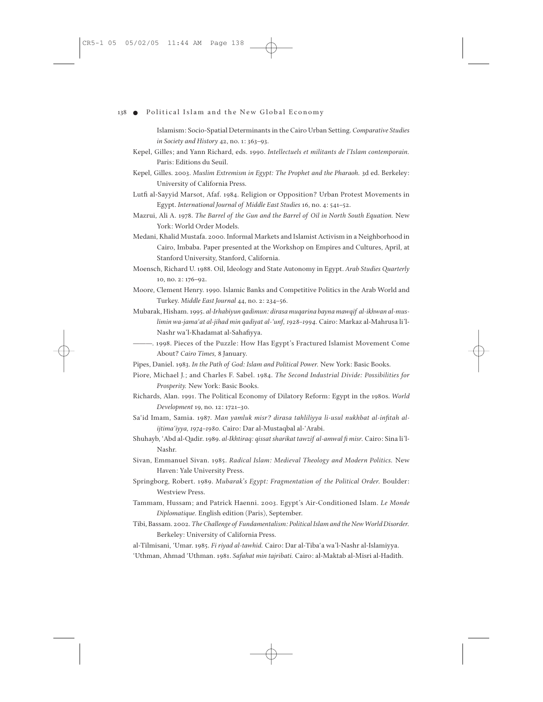Islamism: Socio-Spatial Determinants in the Cairo Urban Setting. *Comparative Studies in Society and History* 42, no. 1: 363–93.

- Kepel, Gilles; and Yann Richard, eds. 1990. *Intellectuels et militants de l'Islam contemporain.* Paris: Editions du Seuil.
- Kepel, Gilles. 2003. *Muslim Extremism in Egypt: The Prophet and the Pharaoh.* 3d ed. Berkeley: University of California Press.
- Lutfi al-Sayyid Marsot, Afaf. 1984. Religion or Opposition? Urban Protest Movements in Egypt. *International Journal of Middle East Studies* 16, no. 4: 541–52.
- Mazrui, Ali A. 1978. *The Barrel of the Gun and the Barrel of Oil in North South Equation.* New York: World Order Models.
- Medani, Khalid Mustafa. 2000. Informal Markets and Islamist Activism in a Neighborhood in Cairo, Imbaba. Paper presented at the Workshop on Empires and Cultures, April, at Stanford University, Stanford, California.
- Moensch, Richard U. 1988. Oil, Ideology and State Autonomy in Egypt. *Arab Studies Quarterly* 10, no. 2: 176–92.
- Moore, Clement Henry. 1990. Islamic Banks and Competitive Politics in the Arab World and Turkey. *Middle East Journal* 44, no. 2: 234–56.
- Mubarak, Hisham. 1995. *al-Irhabiyun qadimun: dirasa muqarina bayna mawqif al-ikhwan al-muslimin wa-jama'at al-jihad min qadiyat al-'unf, 1928–1994.* Cairo: Markaz al-Mahrusa li'l-Nashr wa'l-Khadamat al-Sahafiyya.
- ———. 1998. Pieces of the Puzzle: How Has Egypt's Fractured Islamist Movement Come About? *Cairo Times,* 8 January.
- Pipes, Daniel. 1983. *In the Path of God: Islam and Political Power.* New York: Basic Books.
- Piore, Michael J.; and Charles F. Sabel. 1984. *The Second Industrial Divide: Possibilities for Prosperity.* New York: Basic Books.
- Richards, Alan. 1991. The Political Economy of Dilatory Reform: Egypt in the 1980s. *World Development* 19, no. 12: 1721–30.
- Sa'id Imam, Samia. 1987. *Man yamluk misr? dirasa tahliliyya li-usul nukhbat al-infitah alijtima'iyya, 1974–1980.* Cairo: Dar al-Mustaqbal al-'Arabi.
- Shuhayb, 'Abd al-Qadir. 1989. *al-Ikhtiraq: qissat sharikat tawzif al-amwal fi misr.* Cairo: Sina li'l-Nashr.
- Sivan, Emmanuel Sivan. 1985. *Radical Islam: Medieval Theology and Modern Politics.* New Haven: Yale University Press.
- Springborg, Robert. 1989. *Mubarak's Egypt: Fragmentation of the Political Order.* Boulder: Westview Press.
- Tammam, Hussam; and Patrick Haenni. 2003. Egypt's Air-Conditioned Islam. *Le Monde Diplomatique.* English edition (Paris), September.
- Tibi, Bassam. 2002. *The Challenge of Fundamentalism: Political Islam and the New World Disorder.* Berkeley: University of California Press.
- al-Tilmisani, 'Umar. 1985. *Fi riyad al-tawhid.* Cairo: Dar al-Tiba'a wa'l-Nashr al-Islamiyya.
- 'Uthman, Ahmad 'Uthman. 1981. *Safahat min tajribati.* Cairo: al-Maktab al-Misri al-Hadith.